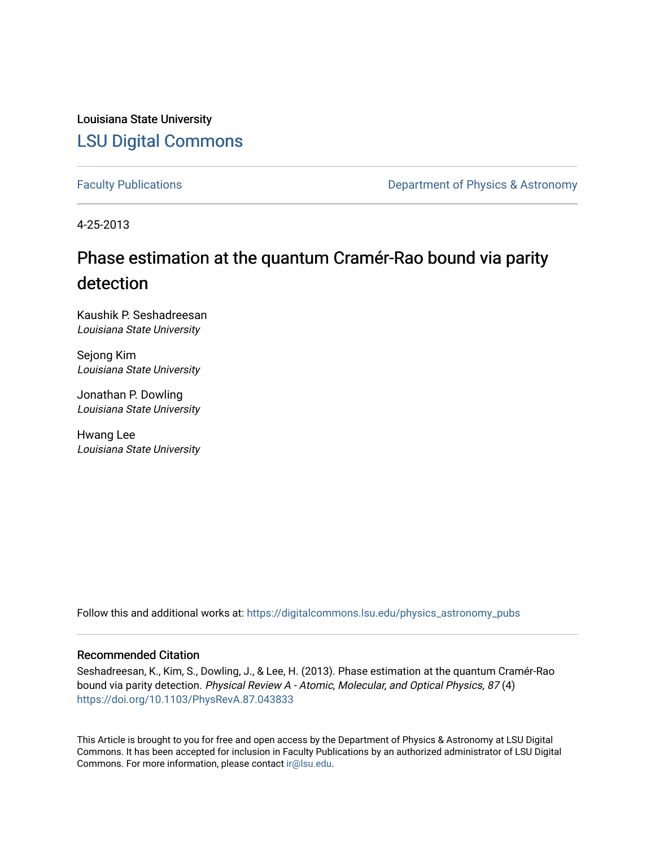Louisiana State University [LSU Digital Commons](https://digitalcommons.lsu.edu/)

[Faculty Publications](https://digitalcommons.lsu.edu/physics_astronomy_pubs) **Exercise 2 and Table 2 and Table 2 and Table 2 and Table 2 and Table 2 and Table 2 and Table 2 and Table 2 and Table 2 and Table 2 and Table 2 and Table 2 and Table 2 and Table 2 and Table 2 and Table** 

4-25-2013

## Phase estimation at the quantum Cramér-Rao bound via parity detection

Kaushik P. Seshadreesan Louisiana State University

Sejong Kim Louisiana State University

Jonathan P. Dowling Louisiana State University

Hwang Lee Louisiana State University

Follow this and additional works at: [https://digitalcommons.lsu.edu/physics\\_astronomy\\_pubs](https://digitalcommons.lsu.edu/physics_astronomy_pubs?utm_source=digitalcommons.lsu.edu%2Fphysics_astronomy_pubs%2F3119&utm_medium=PDF&utm_campaign=PDFCoverPages) 

## Recommended Citation

Seshadreesan, K., Kim, S., Dowling, J., & Lee, H. (2013). Phase estimation at the quantum Cramér-Rao bound via parity detection. Physical Review A - Atomic, Molecular, and Optical Physics, 87 (4) <https://doi.org/10.1103/PhysRevA.87.043833>

This Article is brought to you for free and open access by the Department of Physics & Astronomy at LSU Digital Commons. It has been accepted for inclusion in Faculty Publications by an authorized administrator of LSU Digital Commons. For more information, please contact [ir@lsu.edu](mailto:ir@lsu.edu).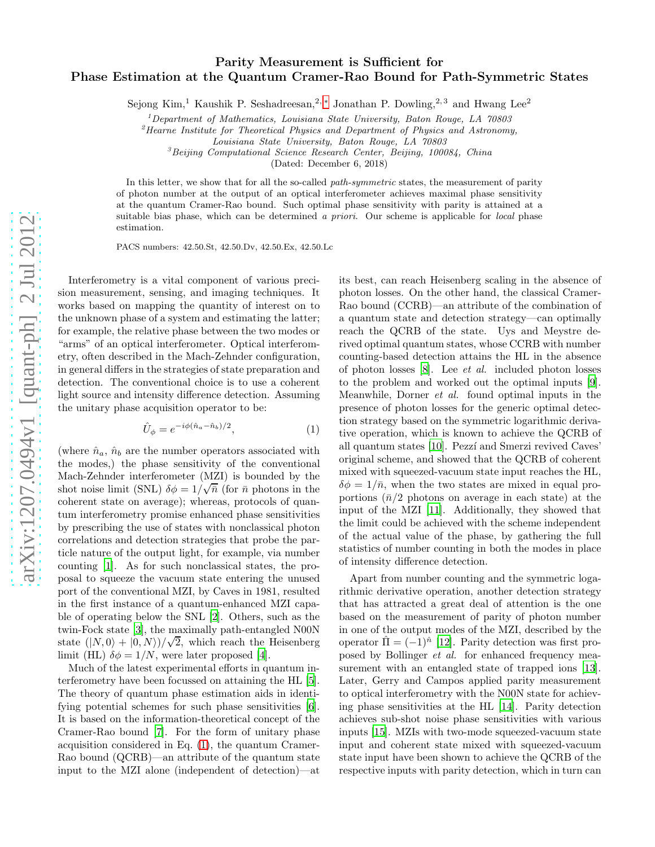## Parity Measurement is Sufficient for Phase Estimation at the Quantum Cramer-Rao Bound for Path-Symmetric States

Sejong Kim,<sup>1</sup> Kaushik P. Seshadreesan,<sup>2,\*</sup> Jonathan P. Dowling,<sup>2,3</sup> and Hwang Lee<sup>2</sup>

 $1$ Department of Mathematics, Louisiana State University, Baton Rouge, LA  $70803$ 

 ${}^{2}$ Hearne Institute for Theoretical Physics and Department of Physics and Astronomy,

 ${}^{3}$ Beijing Computational Science Research Center, Beijing, 100084, China

(Dated: December 6, 2018)

In this letter, we show that for all the so-called path-symmetric states, the measurement of parity of photon number at the output of an optical interferometer achieves maximal phase sensitivity at the quantum Cramer-Rao bound. Such optimal phase sensitivity with parity is attained at a suitable bias phase, which can be determined a priori. Our scheme is applicable for local phase estimation.

PACS numbers: 42.50.St, 42.50.Dv, 42.50.Ex, 42.50.Lc

Interferometry is a vital component of various precision measurement, sensing, and imaging techniques. It works based on mapping the quantity of interest on to the unknown phase of a system and estimating the latter; for example, the relative phase between the two modes or "arms" of an optical interferometer. Optical interferometry, often described in the Mach-Zehnder configuration, in general differs in the strategies of state preparation and detection. The conventional choice is to use a coherent light source and intensity difference detection. Assuming the unitary phase acquisition operator to be:

<span id="page-1-0"></span>
$$
\hat{U}_{\phi} = e^{-i\phi(\hat{n}_a - \hat{n}_b)/2},\tag{1}
$$

(where  $\hat{n}_a$ ,  $\hat{n}_b$  are the number operators associated with the modes,) the phase sensitivity of the conventional Mach-Zehnder interferometer (MZI) is bounded by the shot noise limit (SNL)  $\delta\phi = 1/\sqrt{\bar{n}}$  (for  $\bar{n}$  photons in the coherent state on average); whereas, protocols of quantum interferometry promise enhanced phase sensitivities by prescribing the use of states with nonclassical photon correlations and detection strategies that probe the particle nature of the output light, for example, via number counting [\[1\]](#page-4-1). As for such nonclassical states, the proposal to squeeze the vacuum state entering the unused port of the conventional MZI, by Caves in 1981, resulted in the first instance of a quantum-enhanced MZI capable of operating below the SNL [\[2](#page-4-2)]. Others, such as the twin-Fock state [\[3\]](#page-4-3), the maximally path-entangled N00N state  $(|N,0\rangle + |0,N\rangle)/\sqrt{2}$ , which reach the Heisenberg limit (HL)  $\delta \phi = 1/N$ , were later proposed [\[4\]](#page-4-4).

Much of the latest experimental efforts in quantum interferometry have been focussed on attaining the HL [\[5\]](#page-4-5). The theory of quantum phase estimation aids in identifying potential schemes for such phase sensitivities [\[6\]](#page-4-6). It is based on the information-theoretical concept of the Cramer-Rao bound [\[7](#page-4-7)]. For the form of unitary phase acquisition considered in Eq. [\(1\)](#page-1-0), the quantum Cramer-Rao bound (QCRB)—an attribute of the quantum state input to the MZI alone (independent of detection)—at

its best, can reach Heisenberg scaling in the absence of photon losses. On the other hand, the classical Cramer-Rao bound (CCRB)—an attribute of the combination of a quantum state and detection strategy—can optimally reach the QCRB of the state. Uys and Meystre derived optimal quantum states, whose CCRB with number counting-based detection attains the HL in the absence of photon losses [\[8](#page-4-8)]. Lee et al. included photon losses to the problem and worked out the optimal inputs [\[9\]](#page-4-9). Meanwhile, Dorner et al. found optimal inputs in the presence of photon losses for the generic optimal detection strategy based on the symmetric logarithmic derivative operation, which is known to achieve the QCRB of all quantum states [\[10](#page-4-10)]. Pezzí and Smerzi revived Caves' original scheme, and showed that the QCRB of coherent mixed with squeezed-vacuum state input reaches the HL,  $\delta\phi = 1/\bar{n}$ , when the two states are mixed in equal proportions  $(\bar{n}/2)$  photons on average in each state) at the input of the MZI [\[11](#page-4-11)]. Additionally, they showed that the limit could be achieved with the scheme independent of the actual value of the phase, by gathering the full statistics of number counting in both the modes in place of intensity difference detection.

Apart from number counting and the symmetric logarithmic derivative operation, another detection strategy that has attracted a great deal of attention is the one based on the measurement of parity of photon number in one of the output modes of the MZI, described by the operator  $\hat{\Pi} = (-1)^{\hat{n}}$  [\[12\]](#page-4-12). Parity detection was first proposed by Bollinger et al. for enhanced frequency measurement with an entangled state of trapped ions [\[13\]](#page-4-13). Later, Gerry and Campos applied parity measurement to optical interferometry with the N00N state for achieving phase sensitivities at the HL [\[14\]](#page-4-14). Parity detection achieves sub-shot noise phase sensitivities with various inputs [\[15\]](#page-4-15). MZIs with two-mode squeezed-vacuum state input and coherent state mixed with squeezed-vacuum state input have been shown to achieve the QCRB of the respective inputs with parity detection, which in turn can

Louisiana State University, Baton Rouge, LA 70803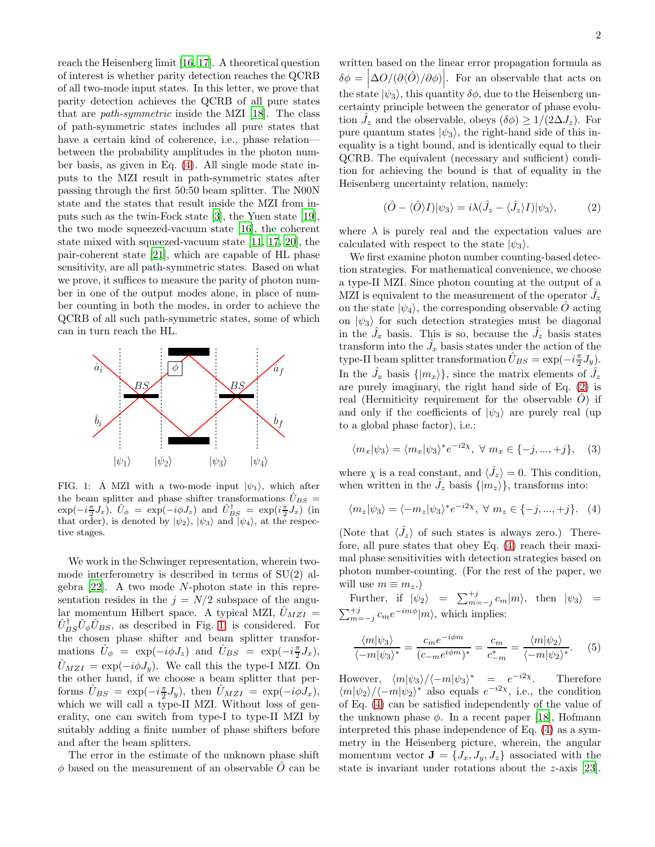reach the Heisenberg limit [\[16](#page-4-16), [17](#page-4-17)]. A theoretical question of interest is whether parity detection reaches the QCRB of all two-mode input states. In this letter, we prove that parity detection achieves the QCRB of all pure states that are path-symmetric inside the MZI [\[18](#page-4-18)]. The class of path-symmetric states includes all pure states that have a certain kind of coherence, i.e., phase relation between the probability amplitudes in the photon number basis, as given in Eq. [\(4\)](#page-2-0). All single mode state inputs to the MZI result in path-symmetric states after passing through the first 50:50 beam splitter. The N00N state and the states that result inside the MZI from inputs such as the twin-Fock state [\[3\]](#page-4-3), the Yuen state [\[19\]](#page-4-19), the two mode squeezed-vacuum state [\[16\]](#page-4-16), the coherent state mixed with squeezed-vacuum state [\[11,](#page-4-11) [17,](#page-4-17) [20\]](#page-4-20), the pair-coherent state [\[21\]](#page-4-21), which are capable of HL phase sensitivity, are all path-symmetric states. Based on what we prove, it suffices to measure the parity of photon number in one of the output modes alone, in place of number counting in both the modes, in order to achieve the QCRB of all such path-symmetric states, some of which can in turn reach the HL.



<span id="page-2-1"></span>FIG. 1: A MZI with a two-mode input  $|\psi_1\rangle$ , which after the beam splitter and phase shifter transformations  $\hat{U}_{BS}$  =  $\exp(-i\frac{\pi}{2}J_x)$ ,  $\hat{U}_\phi = \exp(-i\phi J_z)$  and  $\hat{U}_{BS}^{\dagger} = \exp(i\frac{\pi}{2}J_x)$  (in that order), is denoted by  $|\psi_2\rangle$ ,  $|\psi_3\rangle$  and  $|\psi_4\rangle$ , at the respective stages.

We work in the Schwinger representation, wherein twomode interferometry is described in terms of SU(2) algebra [\[22\]](#page-4-22). A two mode N-photon state in this representation resides in the  $j = N/2$  subspace of the angular momentum Hilbert space. A typical MZI,  $\hat{U}_{MZI} =$  $\hat{U}_{BS}^{\dagger}\hat{U}_{\phi}\hat{U}_{BS}$ , as described in Fig. [1,](#page-2-1) is considered. For the chosen phase shifter and beam splitter transformations  $\hat{U}_{\phi} = \exp(-i\phi J_z)$  and  $\hat{U}_{BS} = \exp(-i\frac{\pi}{2}J_x)$ ,  $\hat{U}_{MZI} = \exp(-i\phi J_y)$ . We call this the type-I MZI. On the other hand, if we choose a beam splitter that performs  $\hat{U}_{BS} = \exp(-i\frac{\pi}{2}J_y)$ , then  $\hat{U}_{MZI} = \exp(-i\phi J_x)$ , which we will call a type-II MZI. Without loss of generality, one can switch from type-I to type-II MZI by suitably adding a finite number of phase shifters before and after the beam splitters.

The error in the estimate of the unknown phase shift  $\phi$  based on the measurement of an observable  $\ddot{O}$  can be

written based on the linear error propagation formula as  $\delta \phi = \left| \Delta O / (\partial \langle \hat{O} \rangle / \partial \phi) \right|$ . For an observable that acts on the state  $|\psi_3\rangle$ , this quantity  $\delta\phi$ , due to the Heisenberg uncertainty principle between the generator of phase evolution  $\hat{J}_z$  and the observable, obeys  $(\delta \phi) \geq 1/(2\Delta J_z)$ . For pure quantum states  $|\psi_3\rangle$ , the right-hand side of this inequality is a tight bound, and is identically equal to their QCRB. The equivalent (necessary and sufficient) condition for achieving the bound is that of equality in the Heisenberg uncertainty relation, namely:

<span id="page-2-2"></span>
$$
(\hat{O} - \langle \hat{O} \rangle I) |\psi_3\rangle = i\lambda (\hat{J}_z - \langle \hat{J}_z \rangle I) |\psi_3\rangle, \tag{2}
$$

where  $\lambda$  is purely real and the expectation values are calculated with respect to the state  $|\psi_3\rangle$ .

We first examine photon number counting-based detection strategies. For mathematical convenience, we choose a type-II MZI. Since photon counting at the output of a MZI is equivalent to the measurement of the operator  $\hat{J}_z$ on the state  $|\psi_4\rangle$ , the corresponding observable  $\hat{O}$  acting on  $|\psi_3\rangle$  for such detection strategies must be diagonal in the  $\hat{J}_x$  basis. This is so, because the  $\hat{J}_z$  basis states transform into the  $\hat{J}_x$  basis states under the action of the type-II beam splitter transformation  $\hat{U}_{BS} = \exp(-i\frac{\pi}{2}J_y)$ . In the  $\hat{J}_x$  basis  $\{|m_x\rangle\}$ , since the matrix elements of  $\hat{J}_z$ are purely imaginary, the right hand side of Eq. [\(2\)](#page-2-2) is real (Hermiticity requirement for the observable  $\hat{O}$ ) if and only if the coefficients of  $|\psi_3\rangle$  are purely real (up to a global phase factor), i.e.:

$$
\langle m_x | \psi_3 \rangle = \langle m_x | \psi_3 \rangle^* e^{-i2\chi}, \ \forall \ m_x \in \{-j, ..., +j\}, \quad (3)
$$

where  $\chi$  is a real constant, and  $\langle \hat{J}_z \rangle = 0$ . This condition, when written in the  $\hat{J}_z$  basis  $\{|m_z\rangle\}$ , transforms into:

<span id="page-2-0"></span>
$$
\langle m_z | \psi_3 \rangle = \langle -m_z | \psi_3 \rangle^* e^{-i2\chi}, \ \forall \ m_z \in \{-j, ..., +j\}.
$$
 (4)

(Note that  $\langle \hat{J}_z \rangle$  of such states is always zero.) Therefore, all pure states that obey Eq. [\(4\)](#page-2-0) reach their maximal phase sensitivities with detection strategies based on photon number-counting. (For the rest of the paper, we will use  $m \equiv m_z$ .)

Further, if 
$$
|\psi_2\rangle = \sum_{m=-j}^{+j} c_m |m\rangle
$$
, then  $|\psi_3\rangle = \sum_{m=-j}^{+j} c_m e^{-im\phi} |m\rangle$ , which implies:

$$
\frac{\langle m|\psi_3\rangle}{\langle -m|\psi_3\rangle^*} = \frac{c_m e^{-i\phi m}}{(c_{-m} e^{i\phi m})^*} = \frac{c_m}{c_{-m}^*} = \frac{\langle m|\psi_2\rangle}{\langle -m|\psi_2\rangle^*}.
$$
 (5)

However,  $\langle m|\psi_3\rangle/\langle -m|\psi_3\rangle^* = e$ Therefore  $\langle m|\psi_2\rangle/\langle -m|\psi_2\rangle^*$  also equals  $e^{-i2\chi}$ , i.e., the condition of Eq. [\(4\)](#page-2-0) can be satisfied independently of the value of the unknown phase  $\phi$ . In a recent paper [\[18\]](#page-4-18), Hofmann interpreted this phase independence of Eq. [\(4\)](#page-2-0) as a symmetry in the Heisenberg picture, wherein, the angular momentum vector  $\mathbf{J} = \{J_x, J_y, J_z\}$  associated with the state is invariant under rotations about the z-axis [\[23\]](#page-4-23).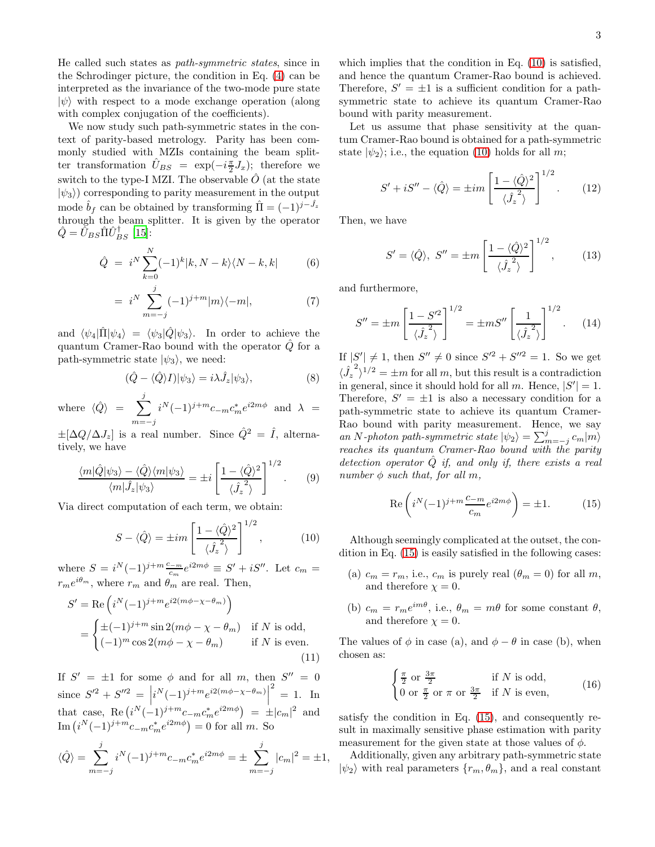He called such states as path-symmetric states, since in the Schrodinger picture, the condition in Eq. [\(4\)](#page-2-0) can be interpreted as the invariance of the two-mode pure state  $|\psi\rangle$  with respect to a mode exchange operation (along with complex conjugation of the coefficients).

We now study such path-symmetric states in the context of parity-based metrology. Parity has been commonly studied with MZIs containing the beam splitter transformation  $\hat{U}_{BS} = \exp(-i\frac{\pi}{2}J_x);$  therefore we switch to the type-I MZI. The observable  $\hat{O}$  (at the state  $|\psi_3\rangle$ ) corresponding to parity measurement in the output mode  $\hat{b}_f$  can be obtained by transforming  $\hat{\Pi} = (-1)^{j-J_z}$ through the beam splitter. It is given by the operator  $\hat{Q}=\tilde{U}_{BS}\hat{\Pi}\hat{U}_{BS}^{\dagger}$  [\[15\]](#page-4-15):

$$
\hat{Q} = i^N \sum_{k=0}^N (-1)^k |k, N-k\rangle\langle N-k, k| \tag{6}
$$

$$
= i^N \sum_{m=-j}^{j} (-1)^{j+m} |m\rangle\langle -m|, \tag{7}
$$

and  $\langle \psi_4|\hat{\Pi}|\psi_4\rangle = \langle \psi_3|\hat{Q}|\psi_3\rangle$ . In order to achieve the quantum Cramer-Rao bound with the operator  $\hat{Q}$  for a path-symmetric state  $|\psi_3\rangle$ , we need:

$$
(\hat{Q} - \langle \hat{Q} \rangle I) |\psi_3\rangle = i\lambda \hat{J}_z |\psi_3\rangle, \tag{8}
$$

where  $\langle \hat{Q} \rangle$  =  $\sum$ j  $m = -j$  $i^N(-1)^{j+m}c_{-m}c_m^*e^{i2m\phi}$  and  $\lambda =$ 

 $\pm[\Delta Q/\Delta J_z]$  is a real number. Since  $\hat{Q}^2 = \hat{I}$ , alternatively, we have

$$
\frac{\langle m|\hat{Q}|\psi_3\rangle - \langle \hat{Q}\rangle \langle m|\psi_3\rangle}{\langle m|\hat{J}_z|\psi_3\rangle} = \pm i \left[ \frac{1 - \langle \hat{Q}\rangle^2}{\langle \hat{J}_z^2 \rangle} \right]^{1/2}.
$$
 (9)

Via direct computation of each term, we obtain:

<span id="page-3-0"></span>
$$
S - \langle \hat{Q} \rangle = \pm im \left[ \frac{1 - \langle \hat{Q} \rangle^2}{\langle \hat{J}_z^2 \rangle} \right]^{1/2}, \quad (10)
$$

where  $S = i^{N}(-1)^{j+m} \frac{c_{-m}}{c_{m}} e^{i2m\phi} \equiv S' + iS''$ . Let  $c_{m} =$  $r_m e^{i\theta_m}$ , where  $r_m$  and  $\theta_m$  are real. Then,

<span id="page-3-2"></span>
$$
S' = \text{Re}\left(i^N(-1)^{j+m}e^{i2(m\phi - \chi - \theta_m)}\right)
$$
  
= 
$$
\begin{cases} \pm (-1)^{j+m} \sin 2(m\phi - \chi - \theta_m) & \text{if } N \text{ is odd,} \\ (-1)^m \cos 2(m\phi - \chi - \theta_m) & \text{if } N \text{ is even.} \end{cases}
$$
(11)

If  $S' = \pm 1$  for some  $\phi$  and for all m, then  $S'' = 0$ since  $S'^2 + S''^2 = \left[ i^N (-1)^{j+m} e^{i2(m\phi - \chi - \theta_m)} \right]$  $2^2 = 1$ . In that case, Re  $(i^N(-1)^{j+m}c_{-m}c_m^*e^{i2m\phi}) = \pm |c_m|^2$  and Im  $(i^N(-1)^{j+m}c_{-m}c_m^*e^{i2m\phi})=0$  for all m. So

$$
\langle \hat{Q} \rangle = \sum_{m=-j}^{j} i^{N} (-1)^{j+m} c_{-m} c_{m}^{*} e^{i2m\phi} = \pm \sum_{m=-j}^{j} |c_{m}|^{2} = \pm 1,
$$

which implies that the condition in Eq. [\(10\)](#page-3-0) is satisfied, and hence the quantum Cramer-Rao bound is achieved. Therefore,  $S' = \pm 1$  is a sufficient condition for a pathsymmetric state to achieve its quantum Cramer-Rao bound with parity measurement.

Let us assume that phase sensitivity at the quantum Cramer-Rao bound is obtained for a path-symmetric state  $|\psi_2\rangle$ ; i.e., the equation [\(10\)](#page-3-0) holds for all m;

$$
S' + iS'' - \langle \hat{Q} \rangle = \pm im \left[ \frac{1 - \langle \hat{Q} \rangle^2}{\langle \hat{J}_z^2 \rangle} \right]^{1/2}.
$$
 (12)

Then, we have

$$
S' = \langle \hat{Q} \rangle, \ S'' = \pm m \left[ \frac{1 - \langle \hat{Q} \rangle^2}{\langle \hat{J}_z^2 \rangle} \right]^{1/2}, \tag{13}
$$

and furthermore,

$$
S'' = \pm m \left[ \frac{1 - S'^2}{\langle \hat{J}_z^2 \rangle} \right]^{1/2} = \pm m S'' \left[ \frac{1}{\langle \hat{J}_z^2 \rangle} \right]^{1/2}.
$$
 (14)

If  $|S'| \neq 1$ , then  $S'' \neq 0$  since  $S'^2 + S''^2 = 1$ . So we get  $\langle \hat{J_z}$  $\int_0^2$   $\sqrt{1/2} = \pm m$  for all m, but this result is a contradiction in general, since it should hold for all m. Hence,  $|S'| = 1$ . Therefore,  $S' = \pm 1$  is also a necessary condition for a path-symmetric state to achieve its quantum Cramer-Rao bound with parity measurement. Hence, we say an N-photon path-symmetric state  $|\psi_2\rangle = \sum_{m=-j}^{j} c_m |m\rangle$ reaches its quantum Cramer-Rao bound with the parity detection operator  $Q$  if, and only if, there exists a real number  $\phi$  such that, for all m,

<span id="page-3-1"></span>
$$
\operatorname{Re}\left(i^N(-1)^{j+m}\frac{c_{-m}}{c_m}e^{i2m\phi}\right) = \pm 1. \tag{15}
$$

Although seemingly complicated at the outset, the condition in Eq. [\(15\)](#page-3-1) is easily satisfied in the following cases:

- (a)  $c_m = r_m$ , i.e.,  $c_m$  is purely real  $(\theta_m = 0)$  for all m, and therefore  $\chi = 0$ .
- (b)  $c_m = r_m e^{im\theta}$ , i.e.,  $\theta_m = m\theta$  for some constant  $\theta$ , and therefore  $\chi = 0$ .

The values of  $\phi$  in case (a), and  $\phi - \theta$  in case (b), when chosen as:

<span id="page-3-3"></span>
$$
\begin{cases} \frac{\pi}{2} \text{ or } \frac{3\pi}{2} & \text{if } N \text{ is odd,} \\ 0 \text{ or } \frac{\pi}{2} \text{ or } \pi \text{ or } \frac{3\pi}{2} & \text{if } N \text{ is even,} \end{cases}
$$
 (16)

satisfy the condition in Eq. [\(15\)](#page-3-1), and consequently result in maximally sensitive phase estimation with parity measurement for the given state at those values of  $\phi$ .

Additionally, given any arbitrary path-symmetric state  $|\psi_2\rangle$  with real parameters  $\{r_m, \theta_m\}$ , and a real constant